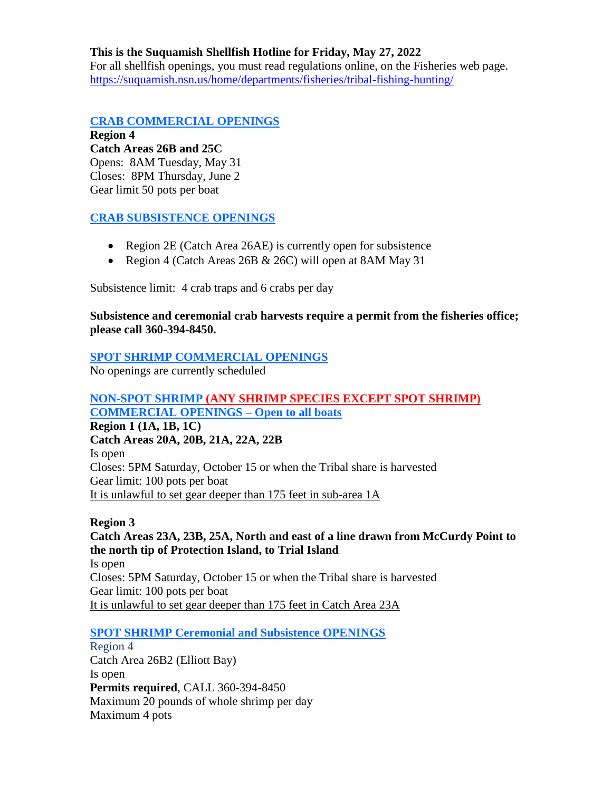### **This is the Suquamish Shellfish Hotline for Friday, May 27, 2022**

For all shellfish openings, you must read regulations online, on the Fisheries web page. <https://suquamish.nsn.us/home/departments/fisheries/tribal-fishing-hunting/>

### **CRAB COMMERCIAL OPENINGS**

**Region 4 Catch Areas 26B and 25C** Opens: 8AM Tuesday, May 31 Closes: 8PM Thursday, June 2 Gear limit 50 pots per boat

## **CRAB SUBSISTENCE OPENINGS**

- Region 2E (Catch Area 26AE) is currently open for subsistence
- Region 4 (Catch Areas 26B & 26C) will open at 8AM May 31

Subsistence limit: 4 crab traps and 6 crabs per day

### **Subsistence and ceremonial crab harvests require a permit from the fisheries office; please call 360-394-8450.**

### **SPOT SHRIMP COMMERCIAL OPENINGS**

No openings are currently scheduled

### **NON-SPOT SHRIMP (ANY SHRIMP SPECIES EXCEPT SPOT SHRIMP) COMMERCIAL OPENINGS – Open to all boats**

**Region 1 (1A, 1B, 1C) Catch Areas 20A, 20B, 21A, 22A, 22B** Is open Closes: 5PM Saturday, October 15 or when the Tribal share is harvested Gear limit: 100 pots per boat It is unlawful to set gear deeper than 175 feet in sub-area 1A

## **Region 3 Catch Areas 23A, 23B, 25A, North and east of a line drawn from McCurdy Point to the north tip of Protection Island, to Trial Island** Is open Closes: 5PM Saturday, October 15 or when the Tribal share is harvested Gear limit: 100 pots per boat It is unlawful to set gear deeper than 175 feet in Catch Area 23A

## **SPOT SHRIMP Ceremonial and Subsistence OPENINGS**

Region 4 Catch Area 26B2 (Elliott Bay) Is open **Permits required**, CALL 360-394-8450 Maximum 20 pounds of whole shrimp per day Maximum 4 pots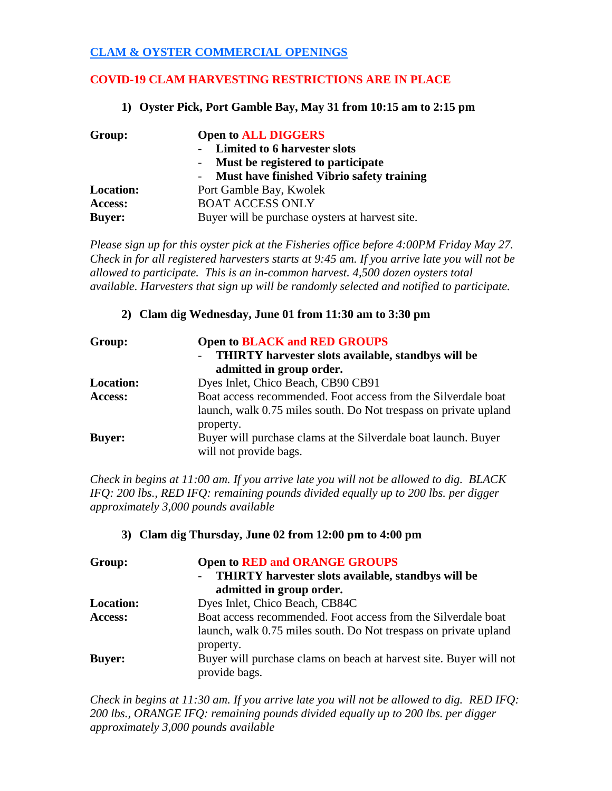# **CLAM & OYSTER COMMERCIAL OPENINGS**

# **COVID-19 CLAM HARVESTING RESTRICTIONS ARE IN PLACE**

### **1) Oyster Pick, Port Gamble Bay, May 31 from 10:15 am to 2:15 pm**

| Group:           | <b>Open to ALL DIGGERS</b>                      |
|------------------|-------------------------------------------------|
|                  | Limited to 6 harvester slots                    |
|                  | - Must be registered to participate             |
|                  | Must have finished Vibrio safety training       |
| <b>Location:</b> | Port Gamble Bay, Kwolek                         |
| Access:          | <b>BOAT ACCESS ONLY</b>                         |
| <b>Buyer:</b>    | Buyer will be purchase oysters at harvest site. |

*Please sign up for this oyster pick at the Fisheries office before 4:00PM Friday May 27. Check in for all registered harvesters starts at 9:45 am. If you arrive late you will not be allowed to participate. This is an in-common harvest. 4,500 dozen oysters total available. Harvesters that sign up will be randomly selected and notified to participate.*

### **2) Clam dig Wednesday, June 01 from 11:30 am to 3:30 pm**

| Group:           | <b>Open to BLACK and RED GROUPS</b><br>THIRTY harvester slots available, standbys will be<br>$\overline{\phantom{0}}$ |
|------------------|-----------------------------------------------------------------------------------------------------------------------|
|                  | admitted in group order.                                                                                              |
| <b>Location:</b> | Dyes Inlet, Chico Beach, CB90 CB91                                                                                    |
| Access:          | Boat access recommended. Foot access from the Silverdale boat                                                         |
|                  | launch, walk 0.75 miles south. Do Not trespass on private upland                                                      |
|                  | property.                                                                                                             |
| <b>Buyer:</b>    | Buyer will purchase clams at the Silverdale boat launch. Buyer                                                        |
|                  | will not provide bags.                                                                                                |

*Check in begins at 11:00 am. If you arrive late you will not be allowed to dig. BLACK IFQ: 200 lbs., RED IFQ: remaining pounds divided equally up to 200 lbs. per digger approximately 3,000 pounds available*

### **3) Clam dig Thursday, June 02 from 12:00 pm to 4:00 pm**

| Group:           | <b>Open to RED and ORANGE GROUPS</b><br>THIRTY harvester slots available, standbys will be<br>admitted in group order.            |
|------------------|-----------------------------------------------------------------------------------------------------------------------------------|
| <b>Location:</b> | Dyes Inlet, Chico Beach, CB84C                                                                                                    |
| Access:          | Boat access recommended. Foot access from the Silverdale boat<br>launch, walk 0.75 miles south. Do Not trespass on private upland |
|                  | property.                                                                                                                         |
| <b>Buyer:</b>    | Buyer will purchase clams on beach at harvest site. Buyer will not<br>provide bags.                                               |

*Check in begins at 11:30 am. If you arrive late you will not be allowed to dig. RED IFQ: 200 lbs., ORANGE IFQ: remaining pounds divided equally up to 200 lbs. per digger approximately 3,000 pounds available*